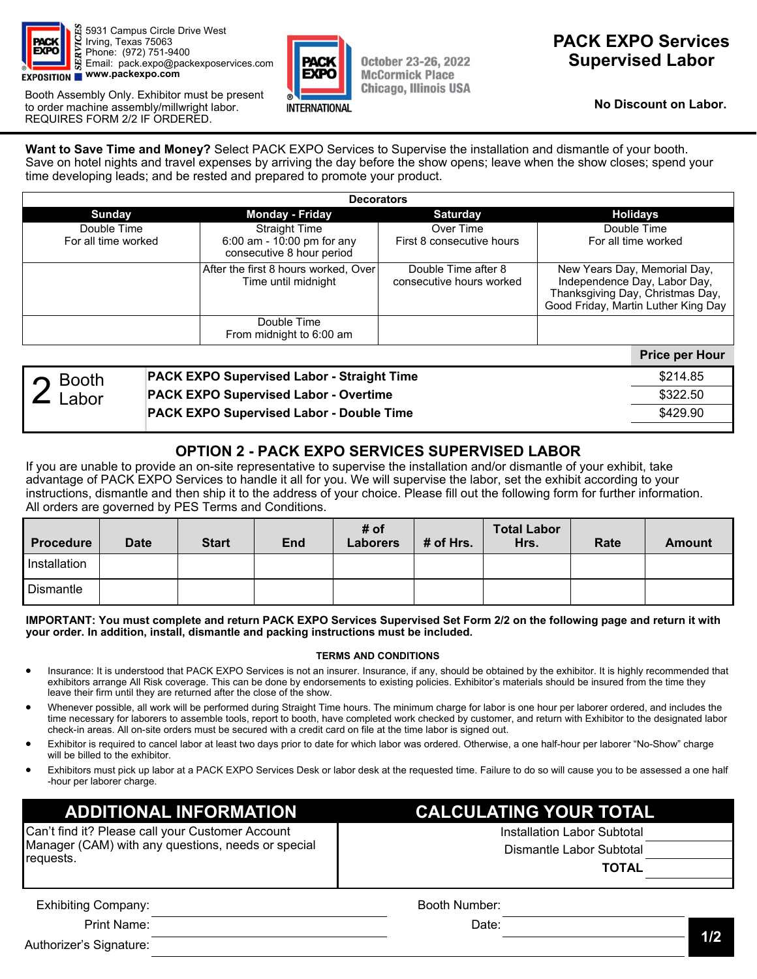

5931 Campus Circle Drive West Irving, Texas 75063 Phone: (972) 751-9400 Email: pack.expo@packexposervices.com **EXPOSITION WWW.packexpo.com** 

Booth Assembly Only. Exhibitor must be present to order machine assembly/millwright labor. REQUIRES FORM 2/2 IF ORDERED.



**October 23-26, 2022 McCormick Place Chicago, Illinois USA** 

## **PACK EXPO Services Supervised Labor**

**No Discount on Labor.** 

**Want to Save Time and Money?** Select PACK EXPO Services to Supervise the installation and dismantle of your booth. Save on hotel nights and travel expenses by arriving the day before the show opens; leave when the show closes; spend your time developing leads; and be rested and prepared to promote your product.

| <b>Decorators</b>                  |                                                                                 |                                                 |                                                                                                                                         |  |  |  |
|------------------------------------|---------------------------------------------------------------------------------|-------------------------------------------------|-----------------------------------------------------------------------------------------------------------------------------------------|--|--|--|
| <b>Sunday</b>                      | <b>Monday - Friday</b>                                                          | <b>Saturday</b>                                 | <b>Holidays</b>                                                                                                                         |  |  |  |
| Double Time<br>For all time worked | <b>Straight Time</b><br>6:00 am - 10:00 pm for any<br>consecutive 8 hour period | Over Time<br>First 8 consecutive hours          | Double Time<br>For all time worked                                                                                                      |  |  |  |
|                                    | After the first 8 hours worked, Over<br>Time until midnight                     | Double Time after 8<br>consecutive hours worked | New Years Day, Memorial Day,<br>Independence Day, Labor Day,<br>Thanksgiving Day, Christmas Day,<br>Good Friday, Martin Luther King Day |  |  |  |
|                                    | Double Time<br>From midnight to 6:00 am                                         |                                                 |                                                                                                                                         |  |  |  |
|                                    |                                                                                 |                                                 | <b>Price per Hour</b>                                                                                                                   |  |  |  |

| $\overline{\phantom{a}}$ Booth | <b>PACK EXPO Supervised Labor - Straight Time</b> | \$214.85 |
|--------------------------------|---------------------------------------------------|----------|
| Labor                          | <b>PACK EXPO Supervised Labor - Overtime</b>      | \$322.50 |
|                                | <b>PACK EXPO Supervised Labor - Double Time</b>   | \$429.90 |
|                                |                                                   |          |

## **OPTION 2 - PACK EXPO SERVICES SUPERVISED LABOR**

If you are unable to provide an on-site representative to supervise the installation and/or dismantle of your exhibit, take advantage of PACK EXPO Services to handle it all for you. We will supervise the labor, set the exhibit according to your instructions, dismantle and then ship it to the address of your choice. Please fill out the following form for further information. All orders are governed by PES Terms and Conditions.

| Procedure        | <b>Date</b> | <b>Start</b> | End | # of<br>Laborers | # of Hrs. | <b>Total Labor</b><br>Hrs. | Rate | <b>Amount</b> |
|------------------|-------------|--------------|-----|------------------|-----------|----------------------------|------|---------------|
| Installation     |             |              |     |                  |           |                            |      |               |
| <b>Dismantle</b> |             |              |     |                  |           |                            |      |               |

#### **IMPORTANT: You must complete and return PACK EXPO Services Supervised Set Form 2/2 on the following page and return it with your order. In addition, install, dismantle and packing instructions must be included.**

### **TERMS AND CONDITIONS**

- Insurance: It is understood that PACK EXPO Services is not an insurer. Insurance, if any, should be obtained by the exhibitor. It is highly recommended that exhibitors arrange All Risk coverage. This can be done by endorsements to existing policies. Exhibitor's materials should be insured from the time they leave their firm until they are returned after the close of the show.
- Whenever possible, all work will be performed during Straight Time hours. The minimum charge for labor is one hour per laborer ordered, and includes the time necessary for laborers to assemble tools, report to booth, have completed work checked by customer, and return with Exhibitor to the designated labor check-in areas. All on-site orders must be secured with a credit card on file at the time labor is signed out.
- Exhibitor is required to cancel labor at least two days prior to date for which labor was ordered. Otherwise, a one half-hour per laborer "No-Show" charge will be billed to the exhibitor.
- Exhibitors must pick up labor at a PACK EXPO Services Desk or labor desk at the requested time. Failure to do so will cause you to be assessed a one half -hour per laborer charge.

Can't find it? Please call your Customer Account Manager (CAM) with any questions, needs or special requests.

# **ADDITIONAL INFORMATION CALCULATING YOUR TOTAL**

Installation Labor Subtotal Dismantle Labor Subtotal

**TOTAL** 

**1/2**  Exhibiting Company: Print Name: Authorizer's Signature: Booth Number: Date: